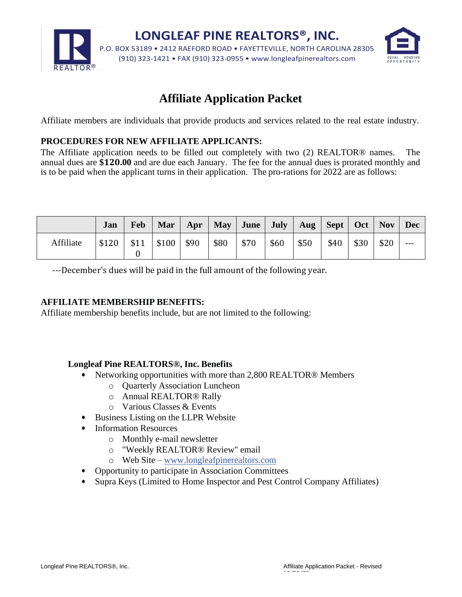

# **Affiliate Application Packet**

Affiliate members are individuals that provide products and services related to the real estate industry.

#### **PROCEDURES FOR NEW AFFILIATE APPLICANTS:**

The Affiliate application needs to be filled out completely with two (2) REALTOR® names. The annual dues are **\$120.00** and are due each January. The fee for the annual dues is prorated monthly and is to be paid when the applicant turns in their application. The pro-rations for 2022 are as follows:

|           | Jan   | <b>Feb</b> | Mar   Apr   May   June   July   Aug   Sept   Oct   Nov |      |      |      |      |      |      |      |      | Dec   |
|-----------|-------|------------|--------------------------------------------------------|------|------|------|------|------|------|------|------|-------|
| Affiliate | \$120 | \$11       | $\frac{1}{2}$ \$100                                    | \$90 | \$80 | \$70 | \$60 | \$50 | \$40 | \$30 | \$20 | $---$ |

---December's dues will be paid in the full amount of the following year.

#### **AFFILIATE MEMBERSHIP BENEFITS:**

Affiliate membership benefits include, but are not limited to the following:

#### **Longleaf Pine REALTORS®, Inc. Benefits**

- Networking opportunities with more than 2,800 REALTOR® Members
	- o Quarterly Association Luncheon
	- o Annual REALTOR® Rally
	- o Various Classes & Events
- Business Listing on the LLPR Website
- Information Resources
	- o Monthly e-mail newsletter
	- o "Weekly REALTOR® Review" email
	- o Web Site [www.longleafpinerealtors.com](http://www.longleafpinerealtors.com/)
- Opportunity to participate in Association Committees
- Supra Keys (Limited to Home Inspector and Pest Control Company Affiliates)

 $\overline{12}$   $\overline{22}$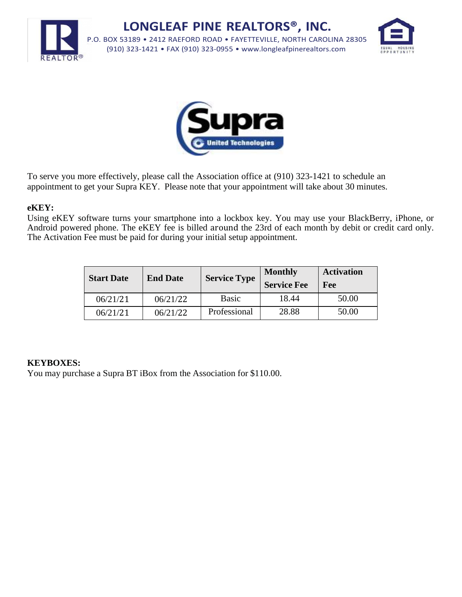

**LONGLEAF PINE REALTORS®, INC.** P.O. BOX 53189 • 2412 RAEFORD ROAD • FAYETTEVILLE, NORTH CAROLINA 28305 (910) 323-1421 • FAX (910) 323-0955 • [www.longleafpinerealtors.com](http://www.longleafpinerealtors.com/)





To serve you more effectively, please call the Association office at (910) 323-1421 to schedule an appointment to get your Supra KEY. Please note that your appointment will take about 30 minutes.

#### **eKEY:**

Using eKEY software turns your smartphone into a lockbox key. You may use your BlackBerry, iPhone, or Android powered phone. The eKEY fee is billed around the 23rd of each month by debit or credit card only. The Activation Fee must be paid for during your initial setup appointment.

| <b>Start Date</b> | <b>End Date</b> | <b>Service Type</b> | <b>Monthly</b><br><b>Service Fee</b> | <b>Activation</b><br>Fee |
|-------------------|-----------------|---------------------|--------------------------------------|--------------------------|
| 06/21/21          | 06/21/22        | Basic               | 18.44                                | 50.00                    |
| 06/21/21          | 06/21/22        | Professional        | 28.88                                | 50.00                    |

### **KEYBOXES:**

You may purchase a Supra BT iBox from the Association for \$110.00.